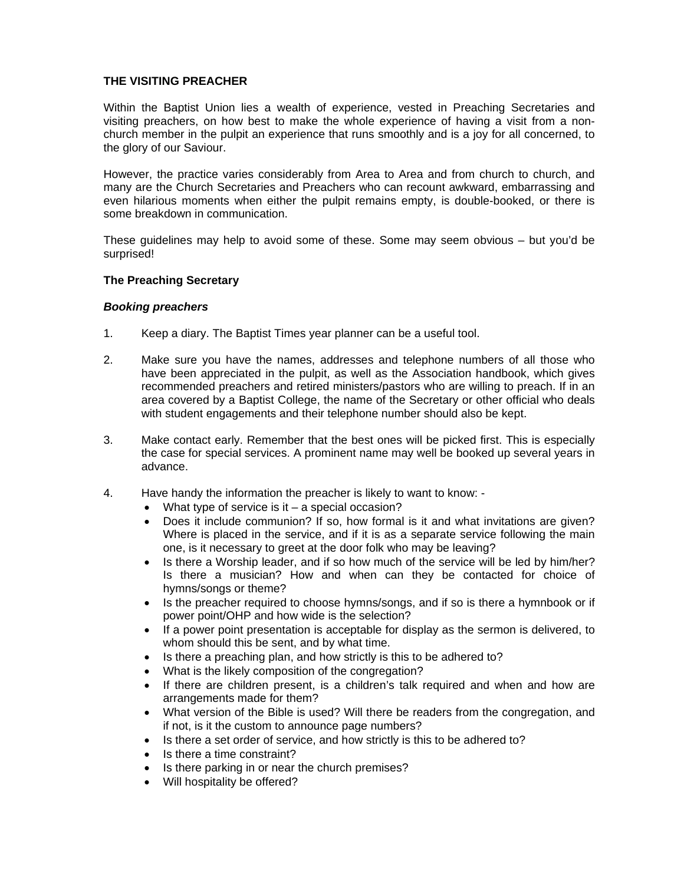## **THE VISITING PREACHER**

Within the Baptist Union lies a wealth of experience, vested in Preaching Secretaries and visiting preachers, on how best to make the whole experience of having a visit from a nonchurch member in the pulpit an experience that runs smoothly and is a joy for all concerned, to the glory of our Saviour.

However, the practice varies considerably from Area to Area and from church to church, and many are the Church Secretaries and Preachers who can recount awkward, embarrassing and even hilarious moments when either the pulpit remains empty, is double-booked, or there is some breakdown in communication.

These guidelines may help to avoid some of these. Some may seem obvious – but you'd be surprised!

## **The Preaching Secretary**

## *Booking preachers*

- 1. Keep a diary. The Baptist Times year planner can be a useful tool.
- 2. Make sure you have the names, addresses and telephone numbers of all those who have been appreciated in the pulpit, as well as the Association handbook, which gives recommended preachers and retired ministers/pastors who are willing to preach. If in an area covered by a Baptist College, the name of the Secretary or other official who deals with student engagements and their telephone number should also be kept.
- 3. Make contact early. Remember that the best ones will be picked first. This is especially the case for special services. A prominent name may well be booked up several years in advance.
- 4. Have handy the information the preacher is likely to want to know:
	- What type of service is it  $-$  a special occasion?
	- Does it include communion? If so, how formal is it and what invitations are given? Where is placed in the service, and if it is as a separate service following the main one, is it necessary to greet at the door folk who may be leaving?
	- Is there a Worship leader, and if so how much of the service will be led by him/her? Is there a musician? How and when can they be contacted for choice of hymns/songs or theme?
	- Is the preacher required to choose hymns/songs, and if so is there a hymnbook or if power point/OHP and how wide is the selection?
	- If a power point presentation is acceptable for display as the sermon is delivered, to whom should this be sent, and by what time.
	- Is there a preaching plan, and how strictly is this to be adhered to?
	- What is the likely composition of the congregation?
	- If there are children present, is a children's talk required and when and how are arrangements made for them?
	- What version of the Bible is used? Will there be readers from the congregation, and if not, is it the custom to announce page numbers?
	- Is there a set order of service, and how strictly is this to be adhered to?
	- Is there a time constraint?
	- Is there parking in or near the church premises?
	- Will hospitality be offered?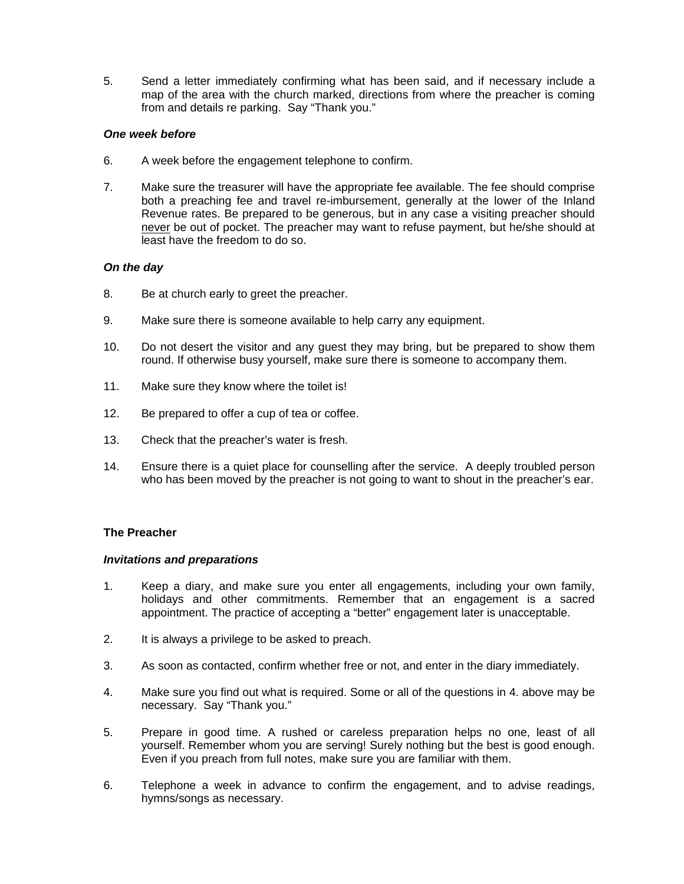5. Send a letter immediately confirming what has been said, and if necessary include a map of the area with the church marked, directions from where the preacher is coming from and details re parking. Say "Thank you."

## *One week before*

- 6. A week before the engagement telephone to confirm.
- 7. Make sure the treasurer will have the appropriate fee available. The fee should comprise both a preaching fee and travel re-imbursement, generally at the lower of the Inland Revenue rates. Be prepared to be generous, but in any case a visiting preacher should never be out of pocket. The preacher may want to refuse payment, but he/she should at least have the freedom to do so.

## *On the day*

- 8. Be at church early to greet the preacher.
- 9. Make sure there is someone available to help carry any equipment.
- 10. Do not desert the visitor and any guest they may bring, but be prepared to show them round. If otherwise busy yourself, make sure there is someone to accompany them.
- 11. Make sure they know where the toilet is!
- 12. Be prepared to offer a cup of tea or coffee.
- 13. Check that the preacher's water is fresh.
- 14. Ensure there is a quiet place for counselling after the service. A deeply troubled person who has been moved by the preacher is not going to want to shout in the preacher's ear.

#### **The Preacher**

#### *Invitations and preparations*

- 1. Keep a diary, and make sure you enter all engagements, including your own family, holidays and other commitments. Remember that an engagement is a sacred appointment. The practice of accepting a "better" engagement later is unacceptable.
- 2. It is always a privilege to be asked to preach.
- 3. As soon as contacted, confirm whether free or not, and enter in the diary immediately.
- 4. Make sure you find out what is required. Some or all of the questions in 4. above may be necessary. Say "Thank you."
- 5. Prepare in good time. A rushed or careless preparation helps no one, least of all yourself. Remember whom you are serving! Surely nothing but the best is good enough. Even if you preach from full notes, make sure you are familiar with them.
- 6. Telephone a week in advance to confirm the engagement, and to advise readings, hymns/songs as necessary.